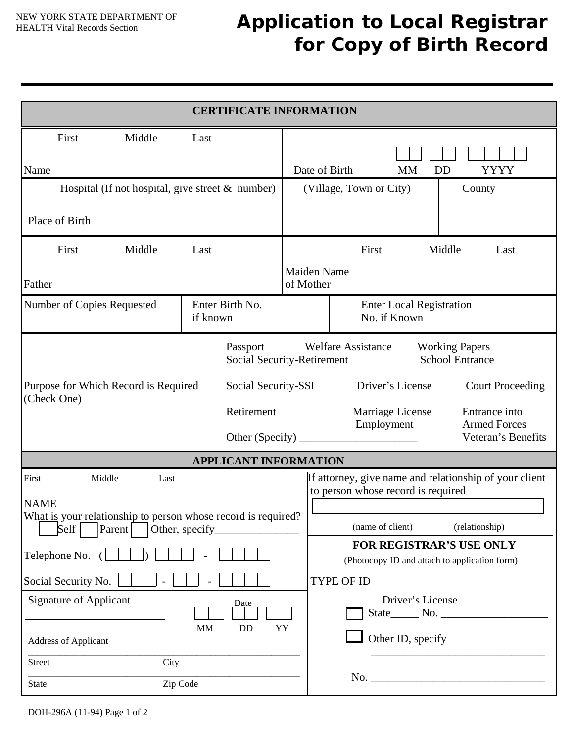## **Application to Local Registrar for Copy of Birth Record**

| <b>CERTIFICATE INFORMATION</b>                                                                                                                |                                                                    |               |                                                                                                                                                                                                                             |    |                   |  |
|-----------------------------------------------------------------------------------------------------------------------------------------------|--------------------------------------------------------------------|---------------|-----------------------------------------------------------------------------------------------------------------------------------------------------------------------------------------------------------------------------|----|-------------------|--|
| First<br>Middle<br>Name                                                                                                                       | Last                                                               | Date of Birth |                                                                                                                                                                                                                             | MM | <b>YYYY</b><br>DD |  |
| Hospital (If not hospital, give street & number)<br>Place of Birth                                                                            |                                                                    |               | (Village, Town or City)<br>County                                                                                                                                                                                           |    |                   |  |
| First<br>Middle<br>Father                                                                                                                     | First<br>Middle<br>Last<br>Last<br><b>Maiden Name</b><br>of Mother |               |                                                                                                                                                                                                                             |    |                   |  |
| Enter Birth No.<br>Number of Copies Requested<br>if known                                                                                     |                                                                    |               | <b>Enter Local Registration</b><br>No. if Known                                                                                                                                                                             |    |                   |  |
| Passport<br>Social Security-Retirement<br>Social Security-SSI<br>Purpose for Which Record is Required<br>(Check One)<br>Retirement            |                                                                    |               | <b>Welfare Assistance</b><br><b>Working Papers</b><br><b>School Entrance</b><br>Driver's License<br><b>Court Proceeding</b><br>Marriage License<br>Entrance into<br>Employment<br><b>Armed Forces</b><br>Veteran's Benefits |    |                   |  |
| <b>APPLICANT INFORMATION</b>                                                                                                                  |                                                                    |               |                                                                                                                                                                                                                             |    |                   |  |
| First<br>Middle<br>Last<br><b>NAME</b><br>What is your relationship to person whose record is required?                                       |                                                                    |               | If attorney, give name and relationship of your client<br>to person whose record is required                                                                                                                                |    |                   |  |
| Self<br>Parent<br>Other, specify                                                                                                              |                                                                    |               | (name of client)                                                                                                                                                                                                            |    | (relationship)    |  |
| Telephone No. (                                                                                                                               |                                                                    |               | FOR REGISTRAR'S USE ONLY<br>(Photocopy ID and attach to application form)                                                                                                                                                   |    |                   |  |
| Social Security No.<br><b>Signature of Applicant</b><br>Date<br><b>MM</b><br>DD<br>YY<br><b>Address of Applicant</b><br>City<br><b>Street</b> |                                                                    |               | <b>TYPE OF ID</b><br>Driver's License<br>Other ID, specify                                                                                                                                                                  |    |                   |  |
| Zip Code<br><b>State</b>                                                                                                                      |                                                                    |               |                                                                                                                                                                                                                             |    |                   |  |